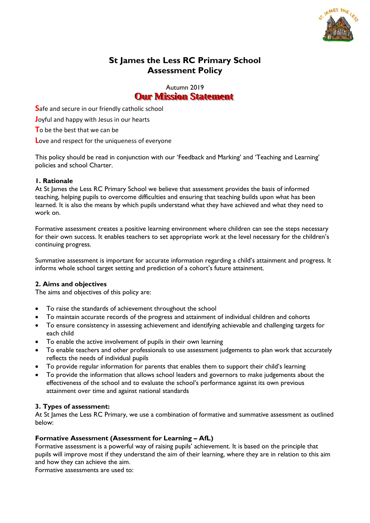

# **St James the Less RC Primary School Assessment Policy**

Autumn 2019 **Our Mission Statement** 

**S**afe and secure in our friendly catholic school

**J**oyful and happy with Jesus in our hearts

**T**o be the best that we can be

**L**ove and respect for the uniqueness of everyone

This policy should be read in conjunction with our 'Feedback and Marking' and 'Teaching and Learning' policies and school Charter.

## **1. Rationale**

At St James the Less RC Primary School we believe that assessment provides the basis of informed teaching, helping pupils to overcome difficulties and ensuring that teaching builds upon what has been learned. It is also the means by which pupils understand what they have achieved and what they need to work on.

Formative assessment creates a positive learning environment where children can see the steps necessary for their own success. It enables teachers to set appropriate work at the level necessary for the children's continuing progress.

Summative assessment is important for accurate information regarding a child's attainment and progress. It informs whole school target setting and prediction of a cohort's future attainment.

## **2. Aims and objectives**

The aims and objectives of this policy are:

- To raise the standards of achievement throughout the school
- To maintain accurate records of the progress and attainment of individual children and cohorts
- To ensure consistency in assessing achievement and identifying achievable and challenging targets for each child
- To enable the active involvement of pupils in their own learning
- To enable teachers and other professionals to use assessment judgements to plan work that accurately reflects the needs of individual pupils
- To provide regular information for parents that enables them to support their child's learning
- To provide the information that allows school leaders and governors to make judgements about the effectiveness of the school and to evaluate the school's performance against its own previous attainment over time and against national standards

### **3. Types of assessment:**

At St James the Less RC Primary, we use a combination of formative and summative assessment as outlined below:

### **Formative Assessment (Assessment for Learning – AfL)**

Formative assessment is a powerful way of raising pupils' achievement. It is based on the principle that pupils will improve most if they understand the aim of their learning, where they are in relation to this aim and how they can achieve the aim.

Formative assessments are used to: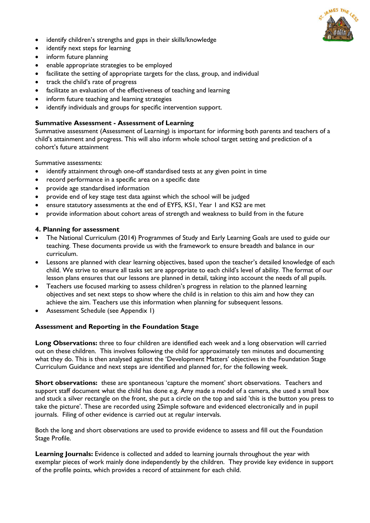

- identify children's strengths and gaps in their skills/knowledge
- identify next steps for learning
- inform future planning
- enable appropriate strategies to be employed
- facilitate the setting of appropriate targets for the class, group, and individual
- track the child's rate of progress
- facilitate an evaluation of the effectiveness of teaching and learning
- inform future teaching and learning strategies
- identify individuals and groups for specific intervention support.

#### **Summative Assessment - Assessment of Learning**

Summative assessment (Assessment of Learning) is important for informing both parents and teachers of a child's attainment and progress. This will also inform whole school target setting and prediction of a cohort's future attainment

Summative assessments:

- identify attainment through one-off standardised tests at any given point in time
- record performance in a specific area on a specific date
- provide age standardised information
- provide end of key stage test data against which the school will be judged
- ensure statutory assessments at the end of EYFS, KS1, Year 1 and KS2 are met
- provide information about cohort areas of strength and weakness to build from in the future

## **4. Planning for assessment**

- The National Curriculum (2014) Programmes of Study and Early Learning Goals are used to guide our teaching. These documents provide us with the framework to ensure breadth and balance in our curriculum.
- Lessons are planned with clear learning objectives, based upon the teacher's detailed knowledge of each child. We strive to ensure all tasks set are appropriate to each child's level of ability. The format of our lesson plans ensures that our lessons are planned in detail, taking into account the needs of all pupils.
- Teachers use focused marking to assess children's progress in relation to the planned learning objectives and set next steps to show where the child is in relation to this aim and how they can achieve the aim. Teachers use this information when planning for subsequent lessons.
- Assessment Schedule (see Appendix 1)

#### **Assessment and Reporting in the Foundation Stage**

**Long Observations:** three to four children are identified each week and a long observation will carried out on these children. This involves following the child for approximately ten minutes and documenting what they do. This is then analysed against the 'Development Matters' objectives in the Foundation Stage Curriculum Guidance and next steps are identified and planned for, for the following week.

**Short observations:** these are spontaneous 'capture the moment' short observations. Teachers and support staff document what the child has done e.g. Amy made a model of a camera, she used a small box and stuck a silver rectangle on the front, she put a circle on the top and said 'this is the button you press to take the picture'. These are recorded using 2Simple software and evidenced electronically and in pupil journals. Filing of other evidence is carried out at regular intervals.

Both the long and short observations are used to provide evidence to assess and fill out the Foundation Stage Profile.

**Learning Journals:** Evidence is collected and added to learning journals throughout the year with exemplar pieces of work mainly done independently by the children. They provide key evidence in support of the profile points, which provides a record of attainment for each child.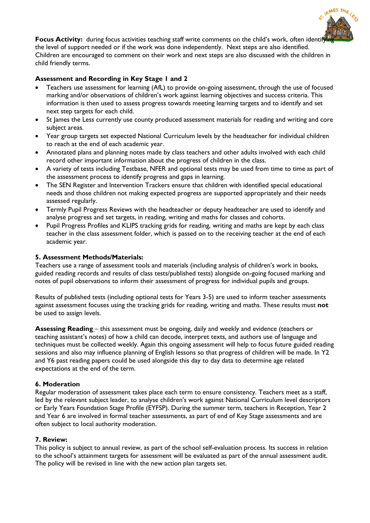

**Focus Activity:** during focus activities teaching staff write comments on the child's work, often identift the level of support needed or if the work was done independently. Next steps are also identified. Children are encouraged to comment on their work and next steps are also discussed with the children in child friendly terms.

## **Assessment and Recording in Key Stage 1 and 2**

- Teachers use assessment for learning (AfL) to provide on-going assessment, through the use of focused marking and/or observations of children's work against learning objectives and success criteria. This information is then used to assess progress towards meeting learning targets and to identify and set next step targets for each child.
- St James the Less currently use county produced assessment materials for reading and writing and core subject areas.
- Year group targets set expected National Curriculum levels by the headteacher for individual children to reach at the end of each academic year.
- Annotated plans and planning notes made by class teachers and other adults involved with each child record other important information about the progress of children in the class.
- A variety of tests including Testbase, NFER and optional tests may be used from time to time as part of the assessment process to identify progress and gaps in learning.
- The SEN Register and Intervention Trackers ensure that children with identified special educational needs and those children not making expected progress are supported appropriately and their needs assessed regularly.
- Termly Pupil Progress Reviews with the headteacher or deputy headteacher are used to identify and analyse progress and set targets, in reading, writing and maths for classes and cohorts.
- Pupil Progress Profiles and KLIPS tracking grids for reading, writing and maths are kept by each class teacher in the class assessment folder, which is passed on to the receiving teacher at the end of each academic year.

### **5. Assessment Methods/Materials:**

Teachers use a range of assessment tools and materials (including analysis of children's work in books, guided reading records and results of class tests/published tests) alongside on-going focused marking and notes of pupil observations to inform their assessment of progress for individual pupils and groups.

Results of published tests (including optional tests for Years 3-5) are used to inform teacher assessments against assessment focuses using the tracking grids for reading, writing and maths. These results must **not** be used to assign levels.

**Assessing Reading** – this assessment must be ongoing, daily and weekly and evidence (teachers or teaching assistant's notes) of how a child can decode, interpret texts, and authors use of language and techniques must be collected weekly. Again this ongoing assessment will help to focus future guided reading sessions and also may influence planning of English lessons so that progress of children will be made. In Y2 and Y6 past reading papers could be used alongside this day to day data to determine age related expectations at the end of the term.

#### **6. Moderation**

Regular moderation of assessment takes place each term to ensure consistency. Teachers meet as a staff, led by the relevant subject leader, to analyse children's work against National Curriculum level descriptors or Early Years Foundation Stage Profile (EYFSP). During the summer term, teachers in Reception, Year 2 and Year 6 are involved in formal teacher assessments, as part of end of Key Stage assessments and are often subject to local authority moderation.

#### **7. Review:**

This policy is subject to annual review, as part of the school self-evaluation process. Its success in relation to the school's attainment targets for assessment will be evaluated as part of the annual assessment audit. The policy will be revised in line with the new action plan targets set.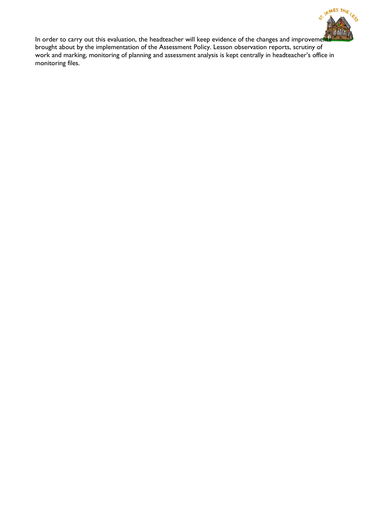

In order to carry out this evaluation, the headteacher will keep evidence of the changes and improvement brought about by the implementation of the Assessment Policy. Lesson observation reports, scrutiny of work and marking, monitoring of planning and assessment analysis is kept centrally in headteacher's office in monitoring files.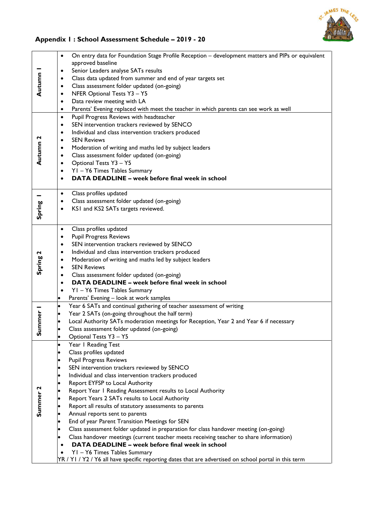

## **Appendix 1 : School Assessment Schedule – 2019 - 20**

|                     | On entry data for Foundation Stage Profile Reception - development matters and PIPs or equivalent<br>$\bullet$             |
|---------------------|----------------------------------------------------------------------------------------------------------------------------|
|                     | approved baseline                                                                                                          |
|                     | Senior Leaders analyse SATs results<br>$\bullet$                                                                           |
|                     | Class data updated from summer and end of year targets set<br>$\bullet$                                                    |
| Autumn              | Class assessment folder updated (on-going)<br>$\bullet$                                                                    |
|                     | NFER Optional Tests Y3 - Y5<br>$\bullet$                                                                                   |
|                     | Data review meeting with LA<br>٠                                                                                           |
|                     | Parents' Evening replaced with meet the teacher in which parents can see work as well<br>٠                                 |
|                     | Pupil Progress Reviews with headteacher<br>$\bullet$                                                                       |
|                     | SEN intervention trackers reviewed by SENCO<br>$\bullet$                                                                   |
|                     | Individual and class intervention trackers produced<br>$\bullet$                                                           |
| Autumn 2            | <b>SEN Reviews</b><br>$\bullet$                                                                                            |
|                     | Moderation of writing and maths led by subject leaders<br>٠                                                                |
|                     | Class assessment folder updated (on-going)<br>٠                                                                            |
|                     | Optional Tests Y3 - Y5<br>$\bullet$<br>YI - Y6 Times Tables Summary                                                        |
|                     | ٠<br>DATA DEADLINE - week before final week in school<br>$\bullet$                                                         |
|                     |                                                                                                                            |
|                     | Class profiles updated<br>$\bullet$                                                                                        |
|                     | Class assessment folder updated (on-going)<br>$\bullet$                                                                    |
| Spring              | KSI and KS2 SATs targets reviewed.<br>$\bullet$                                                                            |
|                     |                                                                                                                            |
|                     | Class profiles updated<br>$\bullet$                                                                                        |
|                     | <b>Pupil Progress Reviews</b><br>$\bullet$                                                                                 |
|                     | SEN intervention trackers reviewed by SENCO<br>$\bullet$                                                                   |
|                     | Individual and class intervention trackers produced<br>٠                                                                   |
| Spring 2            | Moderation of writing and maths led by subject leaders<br>$\bullet$                                                        |
|                     | <b>SEN Reviews</b><br>$\bullet$                                                                                            |
|                     | Class assessment folder updated (on-going)<br>$\bullet$                                                                    |
|                     | DATA DEADLINE - week before final week in school<br>٠                                                                      |
|                     | YI - Y6 Times Tables Summary<br>٠                                                                                          |
|                     | Parents' Evening - look at work samples<br>٠                                                                               |
|                     | Year 6 SATs and continual gathering of teacher assessment of writing<br>$\bullet$                                          |
| mmer                | Year 2 SATs (on-going throughout the half term)<br>$\bullet$                                                               |
|                     | Local Authority SATs moderation meetings for Reception, Year 2 and Year 6 if necessary                                     |
| ທ່                  | Class assessment folder updated (on-going)                                                                                 |
|                     | Optional Tests Y3 - Y5                                                                                                     |
|                     | Year I Reading Test                                                                                                        |
|                     | Class profiles updated                                                                                                     |
|                     | <b>Pupil Progress Reviews</b>                                                                                              |
|                     | SEN intervention trackers reviewed by SENCO                                                                                |
|                     | Individual and class intervention trackers produced<br>$\bullet$                                                           |
|                     | Report EYFSP to Local Authority                                                                                            |
| Summer <sub>2</sub> | Report Year I Reading Assessment results to Local Authority<br>$\bullet$<br>Report Years 2 SATs results to Local Authority |
|                     |                                                                                                                            |
|                     | Report all results of statutory assessments to parents<br>Annual reports sent to parents                                   |
|                     | End of year Parent Transition Meetings for SEN                                                                             |
|                     | Class assessment folder updated in preparation for class handover meeting (on-going)                                       |
|                     | Class handover meetings (current teacher meets receiving teacher to share information)                                     |
|                     | DATA DEADLINE - week before final week in school<br>$\bullet$                                                              |
|                     | YI - Y6 Times Tables Summary                                                                                               |
|                     | YR / Y1 / Y2 / Y6 all have specific reporting dates that are advertised on school portal in this term                      |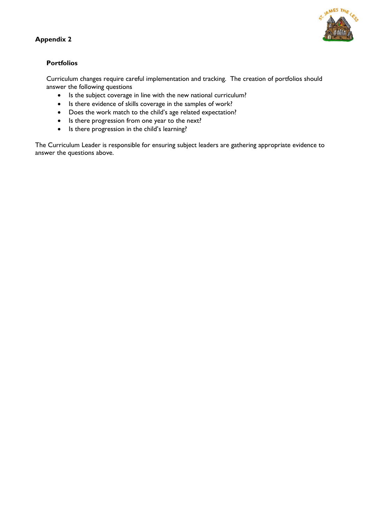



## **Portfolios**

Curriculum changes require careful implementation and tracking. The creation of portfolios should answer the following questions

- Is the subject coverage in line with the new national curriculum?
- Is there evidence of skills coverage in the samples of work?
- Does the work match to the child's age related expectation?
- Is there progression from one year to the next?
- Is there progression in the child's learning?

The Curriculum Leader is responsible for ensuring subject leaders are gathering appropriate evidence to answer the questions above.